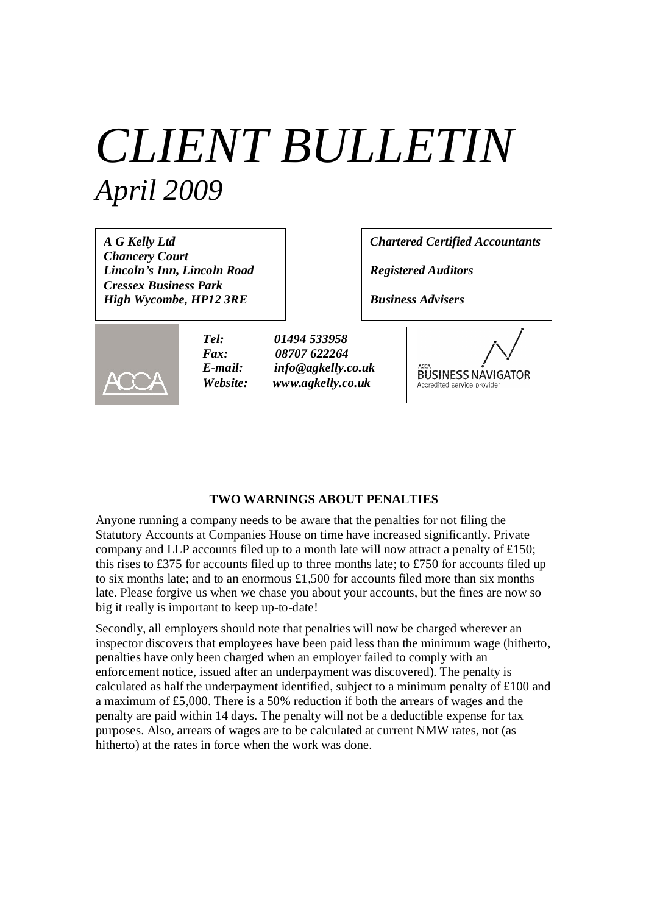# *CLIENT BULLETIN April 2009*

*A G Kelly Ltd Chancery Court Lincoln's Inn, Lincoln Road Cressex Business Park High Wycombe, HP12 3RE*

*Chartered Certified Accountants*

*Registered Auditors*

*Business Advisers*



*Tel: 01494 533958 Fax: 08707 622264 E-mail: info@agkelly.co.uk Website: www.agkelly.co.uk*

**BUSINESS NAVIGATOR** Accredited service provide

## **TWO WARNINGS ABOUT PENALTIES**

Anyone running a company needs to be aware that the penalties for not filing the Statutory Accounts at Companies House on time have increased significantly. Private company and LLP accounts filed up to a month late will now attract a penalty of £150; this rises to £375 for accounts filed up to three months late; to £750 for accounts filed up to six months late; and to an enormous £1,500 for accounts filed more than six months late. Please forgive us when we chase you about your accounts, but the fines are now so big it really is important to keep up-to-date!

Secondly, all employers should note that penalties will now be charged wherever an inspector discovers that employees have been paid less than the minimum wage (hitherto, penalties have only been charged when an employer failed to comply with an enforcement notice, issued after an underpayment was discovered). The penalty is calculated as half the underpayment identified, subject to a minimum penalty of £100 and a maximum of £5,000. There is a 50% reduction if both the arrears of wages and the penalty are paid within 14 days. The penalty will not be a deductible expense for tax purposes. Also, arrears of wages are to be calculated at current NMW rates, not (as hitherto) at the rates in force when the work was done.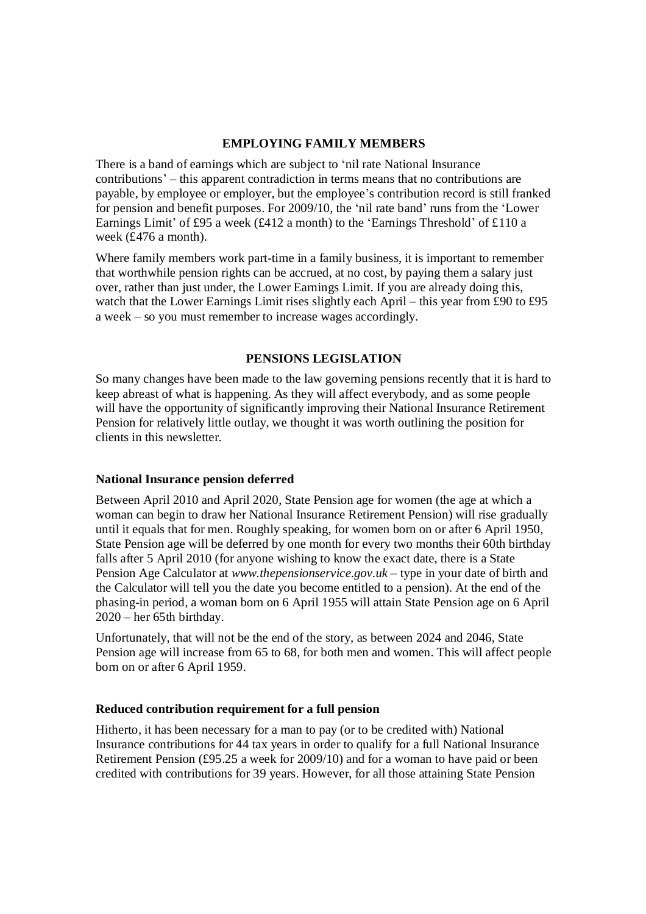## **EMPLOYING FAMILY MEMBERS**

There is a band of earnings which are subject to 'nil rate National Insurance contributions'– this apparent contradiction in terms means that no contributions are payable, by employee or employer, but the employee's contribution record is still franked for pension and benefit purposes. For 2009/10, the 'nil rate band' runs from the 'Lower Earnings Limit' of £95 a week (£412 a month) to the 'Earnings Threshold' of £110 a week (£476 a month).

Where family members work part-time in a family business, it is important to remember that worthwhile pension rights can be accrued, at no cost, by paying them a salary just over, rather than just under, the Lower Earnings Limit. If you are already doing this, watch that the Lower Earnings Limit rises slightly each April – this year from £90 to £95 a week – so you must remember to increase wages accordingly.

## **PENSIONS LEGISLATION**

So many changes have been made to the law governing pensions recently that it is hard to keep abreast of what is happening. As they will affect everybody, and as some people will have the opportunity of significantly improving their National Insurance Retirement Pension for relatively little outlay, we thought it was worth outlining the position for clients in this newsletter.

### **National Insurance pension deferred**

Between April 2010 and April 2020, State Pension age for women (the age at which a woman can begin to draw her National Insurance Retirement Pension) will rise gradually until it equals that for men. Roughly speaking, for women born on or after 6 April 1950, State Pension age will be deferred by one month for every two months their 60th birthday falls after 5 April 2010 (for anyone wishing to know the exact date, there is a State Pension Age Calculator at *www.thepensionservice.gov.uk* – type in your date of birth and the Calculator will tell you the date you become entitled to a pension). At the end of the phasing-in period, a woman born on 6 April 1955 will attain State Pension age on 6 April 2020 – her 65th birthday.

Unfortunately, that will not be the end of the story, as between 2024 and 2046, State Pension age will increase from 65 to 68, for both men and women. This will affect people born on or after 6 April 1959.

### **Reduced contribution requirement for a full pension**

Hitherto, it has been necessary for a man to pay (or to be credited with) National Insurance contributions for 44 tax years in order to qualify for a full National Insurance Retirement Pension (£95.25 a week for 2009/10) and for a woman to have paid or been credited with contributions for 39 years. However, for all those attaining State Pension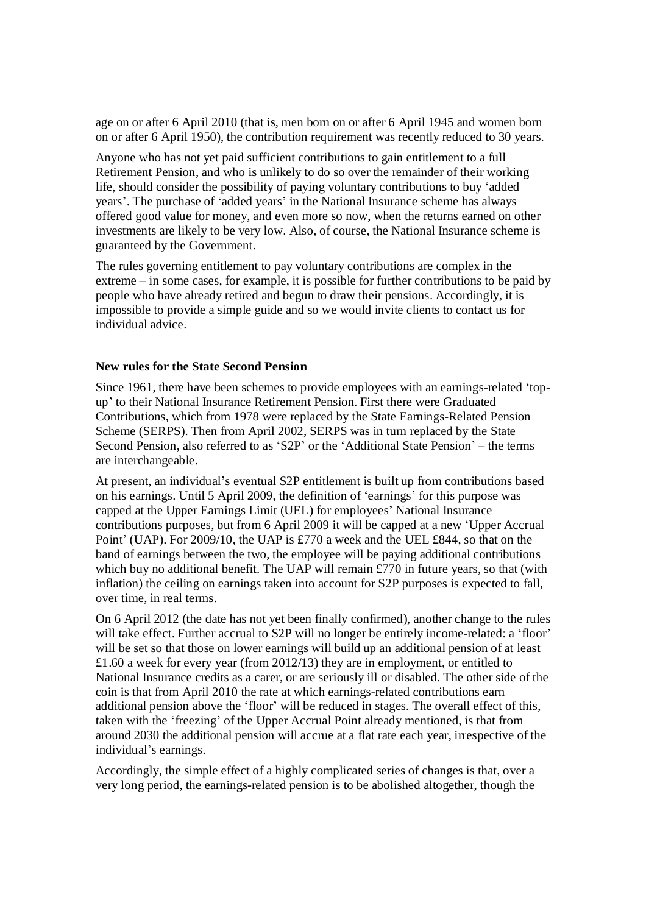age on or after 6 April 2010 (that is, men born on or after 6 April 1945 and women born on or after 6 April 1950), the contribution requirement was recently reduced to 30 years.

Anyone who has not yet paid sufficient contributions to gain entitlement to a full Retirement Pension, and who is unlikely to do so over the remainder of their working life, should consider the possibility of paying voluntary contributions to buy 'added years'. The purchase of 'added years' in the National Insurance scheme has always offered good value for money, and even more so now, when the returns earned on other investments are likely to be very low. Also, of course, the National Insurance scheme is guaranteed by the Government.

The rules governing entitlement to pay voluntary contributions are complex in the extreme – in some cases, for example, it is possible for further contributions to be paid by people who have already retired and begun to draw their pensions. Accordingly, it is impossible to provide a simple guide and so we would invite clients to contact us for individual advice.

#### **New rules for the State Second Pension**

Since 1961, there have been schemes to provide employees with an earnings-related 'topup' to their National Insurance Retirement Pension. First there were Graduated Contributions, which from 1978 were replaced by the State Earnings-Related Pension Scheme (SERPS). Then from April 2002, SERPS was in turn replaced by the State Second Pension, also referred to as 'S2P' or the 'Additional State Pension'– the terms are interchangeable.

At present, an individual's eventual S2P entitlement is built up from contributions based on his earnings. Until 5 April 2009, the definition of 'earnings' for this purpose was capped at the Upper Earnings Limit (UEL) for employees' National Insurance contributions purposes, but from 6 April 2009 it will be capped at a new 'Upper Accrual Point' (UAP). For 2009/10, the UAP is £770 a week and the UEL £844, so that on the band of earnings between the two, the employee will be paying additional contributions which buy no additional benefit. The UAP will remain £770 in future years, so that (with inflation) the ceiling on earnings taken into account for S2P purposes is expected to fall, over time, in real terms.

On 6 April 2012 (the date has not yet been finally confirmed), another change to the rules will take effect. Further accrual to S2P will no longer be entirely income-related: a 'floor' will be set so that those on lower earnings will build up an additional pension of at least £1.60 a week for every year (from 2012/13) they are in employment, or entitled to National Insurance credits as a carer, or are seriously ill or disabled. The other side of the coin is that from April 2010 the rate at which earnings-related contributions earn additional pension above the 'floor' will be reduced in stages. The overall effect of this, taken with the 'freezing' of the Upper Accrual Point already mentioned, is that from around 2030 the additional pension will accrue at a flat rate each year, irrespective of the individual's earnings.

Accordingly, the simple effect of a highly complicated series of changes is that, over a very long period, the earnings-related pension is to be abolished altogether, though the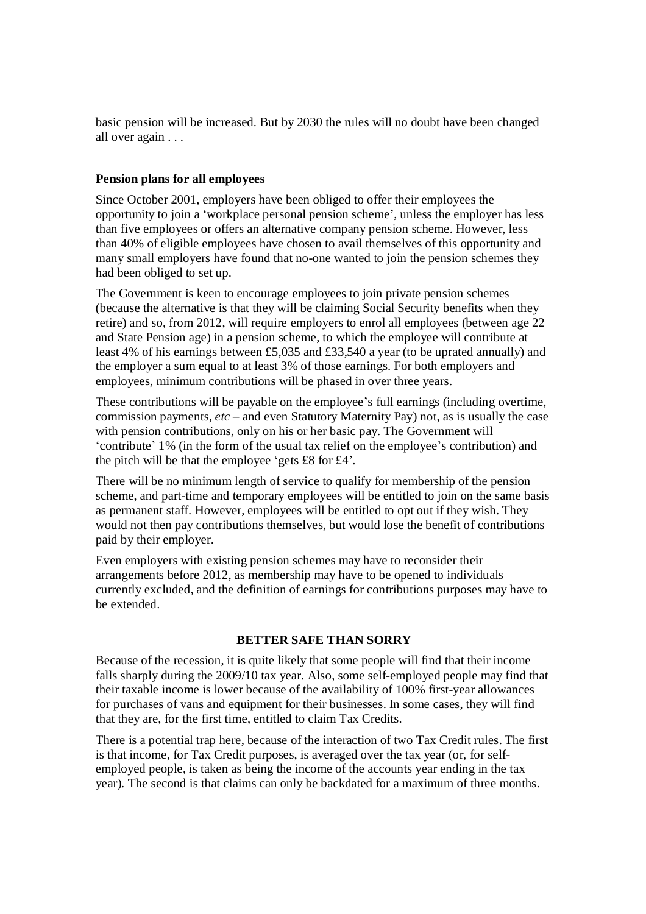basic pension will be increased. But by 2030 the rules will no doubt have been changed all over again . . .

## **Pension plans for all employees**

Since October 2001, employers have been obliged to offer their employees the opportunity to join a 'workplace personal pension scheme', unless the employer has less than five employees or offers an alternative company pension scheme. However, less than 40% of eligible employees have chosen to avail themselves of this opportunity and many small employers have found that no-one wanted to join the pension schemes they had been obliged to set up.

The Government is keen to encourage employees to join private pension schemes (because the alternative is that they will be claiming Social Security benefits when they retire) and so, from 2012, will require employers to enrol all employees (between age 22 and State Pension age) in a pension scheme, to which the employee will contribute at least 4% of his earnings between £5,035 and £33,540 a year (to be uprated annually) and the employer a sum equal to at least 3% of those earnings. For both employers and employees, minimum contributions will be phased in over three years.

These contributions will be payable on the employee's full earnings (including overtime, commission payments, *etc* – and even Statutory Maternity Pay) not, as is usually the case with pension contributions, only on his or her basic pay. The Government will 'contribute' 1% (in the form of the usual tax relief on the employee's contribution) and the pitch will be that the employee 'gets £8 for £4'.

There will be no minimum length of service to qualify for membership of the pension scheme, and part-time and temporary employees will be entitled to join on the same basis as permanent staff. However, employees will be entitled to opt out if they wish. They would not then pay contributions themselves, but would lose the benefit of contributions paid by their employer.

Even employers with existing pension schemes may have to reconsider their arrangements before 2012, as membership may have to be opened to individuals currently excluded, and the definition of earnings for contributions purposes may have to be extended.

### **BETTER SAFE THAN SORRY**

Because of the recession, it is quite likely that some people will find that their income falls sharply during the 2009/10 tax year. Also, some self-employed people may find that their taxable income is lower because of the availability of 100% first-year allowances for purchases of vans and equipment for their businesses. In some cases, they will find that they are, for the first time, entitled to claim Tax Credits.

There is a potential trap here, because of the interaction of two Tax Credit rules. The first is that income, for Tax Credit purposes, is averaged over the tax year (or, for selfemployed people, is taken as being the income of the accounts year ending in the tax year). The second is that claims can only be backdated for a maximum of three months.